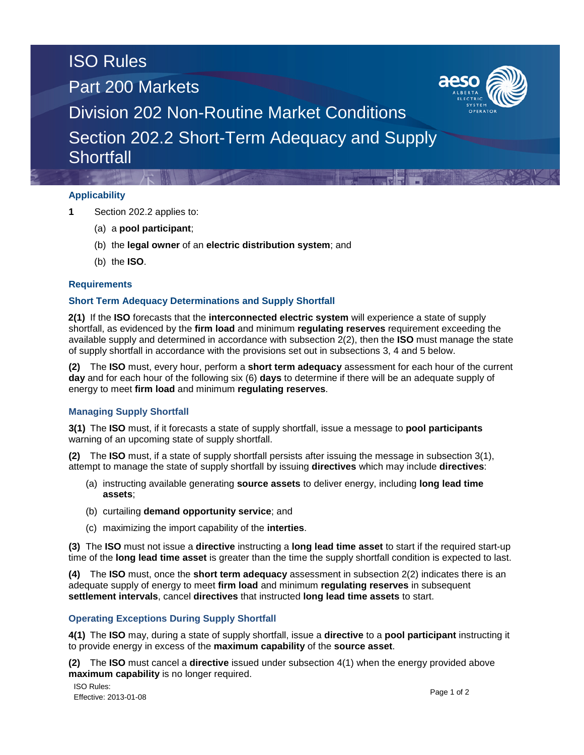# ISO Rules

Part 200 Markets



Division 202 Non-Routine Market Conditions

Section 202.2 Short-Term Adequacy and Supply **Shortfall** 

## **Applicability**

- **1** Section 202.2 applies to:
	- (a) a **pool participant**;
	- (b) the **legal owner** of an **electric distribution system**; and
	- (b) the **ISO**.

## **Requirements**

## **Short Term Adequacy Determinations and Supply Shortfall**

**2(1)** If the **ISO** forecasts that the **interconnected electric system** will experience a state of supply shortfall, as evidenced by the **firm load** and minimum **regulating reserves** requirement exceeding the available supply and determined in accordance with subsection 2(2), then the **ISO** must manage the state of supply shortfall in accordance with the provisions set out in subsections 3, 4 and 5 below.

**(2)** The **ISO** must, every hour, perform a **short term adequacy** assessment for each hour of the current **day** and for each hour of the following six (6) **days** to determine if there will be an adequate supply of energy to meet **firm load** and minimum **regulating reserves**.

## **Managing Supply Shortfall**

**3(1)** The **ISO** must, if it forecasts a state of supply shortfall, issue a message to **pool participants** warning of an upcoming state of supply shortfall.

**(2)** The **ISO** must, if a state of supply shortfall persists after issuing the message in subsection 3(1), attempt to manage the state of supply shortfall by issuing **directives** which may include **directives**:

- (a) instructing available generating **source assets** to deliver energy, including **long lead time assets**;
- (b) curtailing **demand opportunity service**; and
- (c) maximizing the import capability of the **interties**.

**(3)** The **ISO** must not issue a **directive** instructing a **long lead time asset** to start if the required start-up time of the **long lead time asset** is greater than the time the supply shortfall condition is expected to last.

**(4)** The **ISO** must, once the **short term adequacy** assessment in subsection 2(2) indicates there is an adequate supply of energy to meet **firm load** and minimum **regulating reserves** in subsequent **settlement intervals**, cancel **directives** that instructed **long lead time assets** to start.

## **Operating Exceptions During Supply Shortfall**

**4(1)** The **ISO** may, during a state of supply shortfall, issue a **directive** to a **pool participant** instructing it to provide energy in excess of the **maximum capability** of the **source asset**.

**(2)** The **ISO** must cancel a **directive** issued under subsection 4(1) when the energy provided above **maximum capability** is no longer required.

ISO Rules: Effective: 2013-01-08 Page 1 of 2